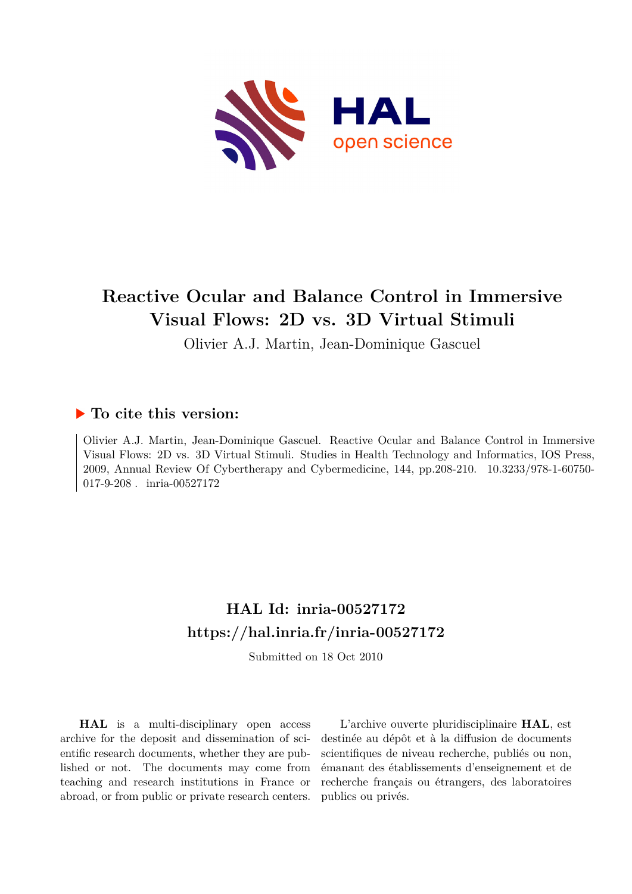

# **Reactive Ocular and Balance Control in Immersive Visual Flows: 2D vs. 3D Virtual Stimuli**

Olivier A.J. Martin, Jean-Dominique Gascuel

### **To cite this version:**

Olivier A.J. Martin, Jean-Dominique Gascuel. Reactive Ocular and Balance Control in Immersive Visual Flows: 2D vs. 3D Virtual Stimuli. Studies in Health Technology and Informatics, IOS Press, 2009, Annual Review Of Cybertherapy and Cybermedicine, 144, pp.208-210. 10.3233/978-1-60750- $017-9-208$ . inria-00527172

## **HAL Id: inria-00527172 <https://hal.inria.fr/inria-00527172>**

Submitted on 18 Oct 2010

**HAL** is a multi-disciplinary open access archive for the deposit and dissemination of scientific research documents, whether they are published or not. The documents may come from teaching and research institutions in France or abroad, or from public or private research centers.

L'archive ouverte pluridisciplinaire **HAL**, est destinée au dépôt et à la diffusion de documents scientifiques de niveau recherche, publiés ou non, émanant des établissements d'enseignement et de recherche français ou étrangers, des laboratoires publics ou privés.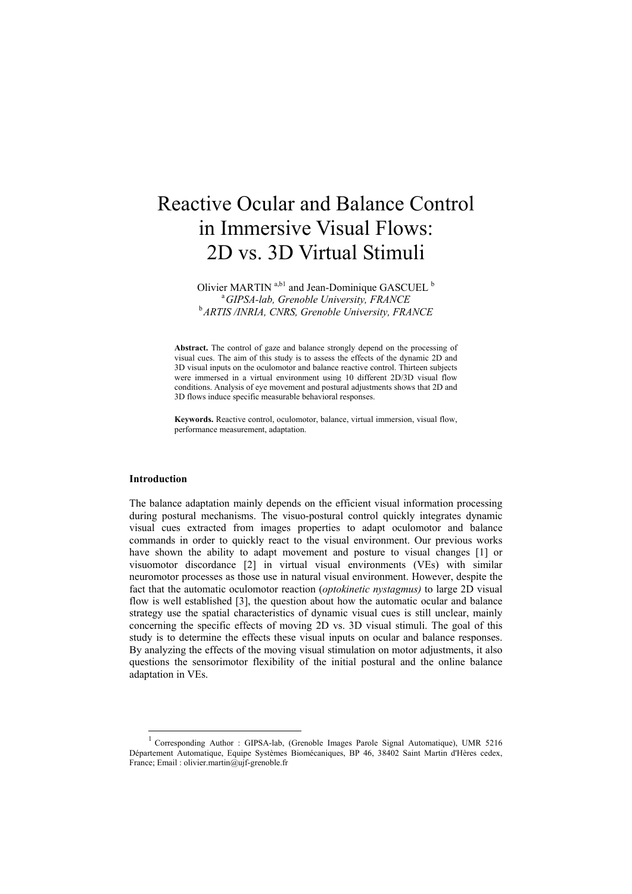# Reactive Ocular and Balance Control in Immersive Visual Flows: 2D vs. 3D Virtual Stimuli

Olivier MARTIN<sup>a,b1</sup> and Jean-Dominique GASCUEL<sup>b</sup> a *GIPSA-lab, Grenoble University, FRANCE*  b *ARTIS /INRIA, CNRS, Grenoble University, FRANCE* 

**Abstract.** The control of gaze and balance strongly depend on the processing of visual cues. The aim of this study is to assess the effects of the dynamic 2D and 3D visual inputs on the oculomotor and balance reactive control. Thirteen subjects were immersed in a virtual environment using 10 different 2D/3D visual flow conditions. Analysis of eye movement and postural adjustments shows that 2D and 3D flows induce specific measurable behavioral responses.

**Keywords.** Reactive control, oculomotor, balance, virtual immersion, visual flow, performance measurement, adaptation.

#### **Introduction**

1

The balance adaptation mainly depends on the efficient visual information processing during postural mechanisms. The visuo-postural control quickly integrates dynamic visual cues extracted from images properties to adapt oculomotor and balance commands in order to quickly react to the visual environment. Our previous works have shown the ability to adapt movement and posture to visual changes [1] or visuomotor discordance [2] in virtual visual environments (VEs) with similar neuromotor processes as those use in natural visual environment. However, despite the fact that the automatic oculomotor reaction (*optokinetic nystagmus)* to large 2D visual flow is well established [3], the question about how the automatic ocular and balance strategy use the spatial characteristics of dynamic visual cues is still unclear, mainly concerning the specific effects of moving 2D vs. 3D visual stimuli. The goal of this study is to determine the effects these visual inputs on ocular and balance responses. By analyzing the effects of the moving visual stimulation on motor adjustments, it also questions the sensorimotor flexibility of the initial postural and the online balance adaptation in VEs.

<sup>&</sup>lt;sup>1</sup> Corresponding Author : GIPSA-lab, (Grenoble Images Parole Signal Automatique), UMR 5216 Département Automatique, Equipe Systèmes Biomécaniques, BP 46, 38402 Saint Martin d'Hères cedex, France; Email : olivier.martin@ujf-grenoble.fr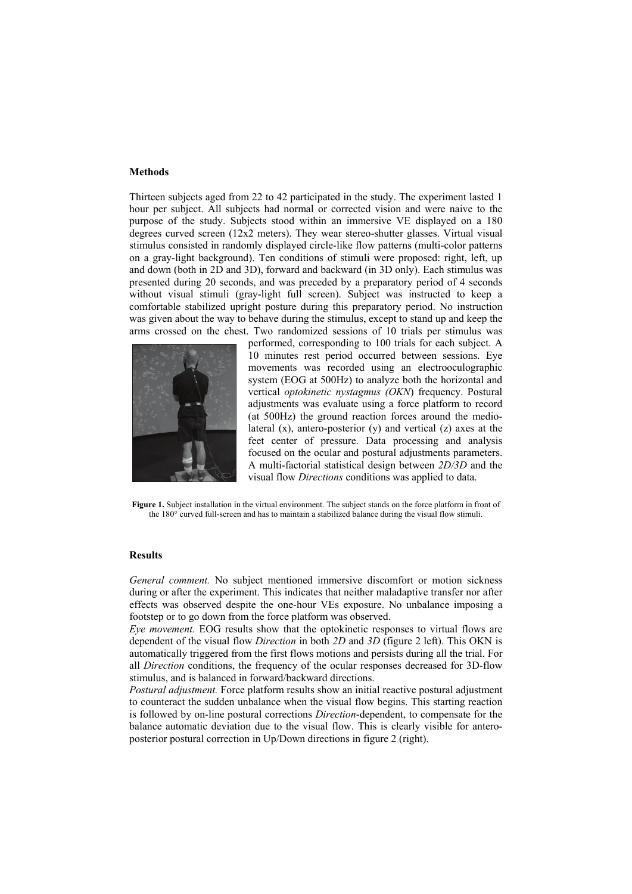#### **Methods**

Thirteen subjects aged from 22 to 42 participated in the study. The experiment lasted 1 hour per subject. All subjects had normal or corrected vision and were naive to the purpose of the study. Subjects stood within an immersive VE displayed on a 180 degrees curved screen (12x2 meters). They wear stereo-shutter glasses. Virtual visual stimulus consisted in randomly displayed circle-like flow patterns (multi-color patterns on a gray-light background). Ten conditions of stimuli were proposed: right, left, up and down (both in 2D and 3D), forward and backward (in 3D only). Each stimulus was presented during 20 seconds, and was preceded by a preparatory period of 4 seconds without visual stimuli (gray-light full screen). Subject was instructed to keep a comfortable stabilized upright posture during this preparatory period. No instruction was given about the way to behave during the stimulus, except to stand up and keep the arms crossed on the chest. Two randomized sessions of 10 trials per stimulus was



performed, corresponding to 100 trials for each subject. A 10 minutes rest period occurred between sessions. Eye movements was recorded using an electrooculographic system (EOG at 500Hz) to analyze both the horizontal and vertical *optokinetic nystagmus (OKN*) frequency. Postural adjustments was evaluate using a force platform to record (at 500Hz) the ground reaction forces around the mediolateral (x), antero-posterior (y) and vertical (z) axes at the feet center of pressure. Data processing and analysis focused on the ocular and postural adjustments parameters. A multi-factorial statistical design between *2D/3D* and the visual flow *Directions* conditions was applied to data.

**Figure 1.** Subject installation in the virtual environment. The subject stands on the force platform in front of the 180° curved full-screen and has to maintain a stabilized balance during the visual flow stimuli.

#### **Results**

*General comment.* No subject mentioned immersive discomfort or motion sickness during or after the experiment. This indicates that neither maladaptive transfer nor after effects was observed despite the one-hour VEs exposure. No unbalance imposing a footstep or to go down from the force platform was observed.

*Eye movement.* EOG results show that the optokinetic responses to virtual flows are dependent of the visual flow *Direction* in both *2D* and *3D* (figure 2 left). This OKN is automatically triggered from the first flows motions and persists during all the trial. For all *Direction* conditions, the frequency of the ocular responses decreased for 3D-flow stimulus, and is balanced in forward/backward directions.

*Postural adjustment.* Force platform results show an initial reactive postural adjustment to counteract the sudden unbalance when the visual flow begins. This starting reaction is followed by on-line postural corrections *Direction*-dependent, to compensate for the balance automatic deviation due to the visual flow. This is clearly visible for anteroposterior postural correction in Up/Down directions in figure 2 (right).